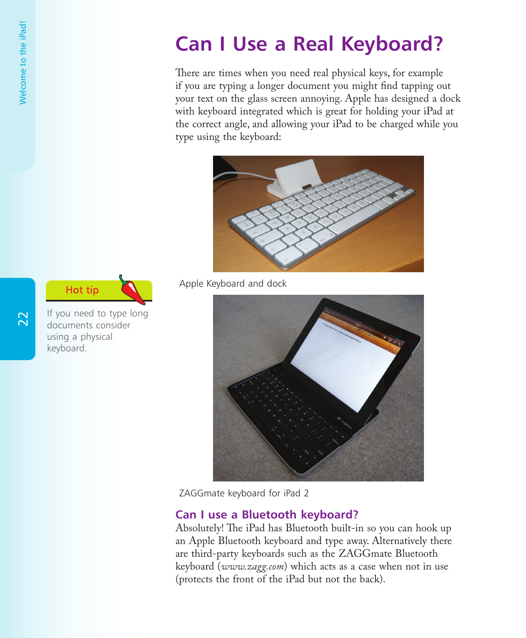## **Can I Use a Real Keyboard?**

There are times when you need real physical keys, for example if you are typing a longer document you might find tapping out your text on the glass screen annoying. Apple has designed a dock with keyboard integrated which is great for holding your iPad at the correct angle, and allowing your iPad to be charged while you type using the keyboard:



Apple Keyboard and dock



ZAGGmate keyboard for iPad 2

## **Can I use a Bluetooth keyboard?**

Absolutely! The iPad has Bluetooth built-in so you can hook up an Apple Bluetooth keyboard and type away. Alternatively there are third-party keyboards such as the ZAGGmate Bluetooth keyboard (*www.zagg.com*) which acts as a case when not in use (protects the front of the iPad but not the back).

 $\overline{2}$ 

If you need to type long documents consider using a physical keyboard.